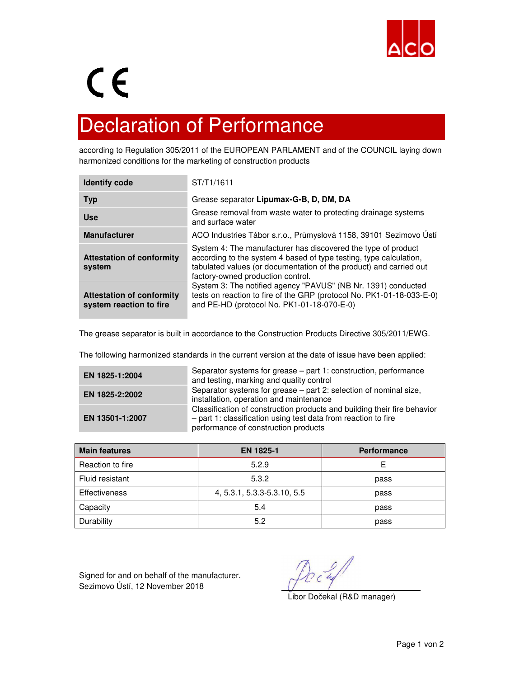

# $C \in$

### Declaration of Performance

according to Regulation 305/2011 of the EUROPEAN PARLAMENT and of the COUNCIL laying down harmonized conditions for the marketing of construction products

| <b>Identify code</b>                                        | ST/T1/1611                                                                                                                                                                                                                                                                                                                                                                                                                             |  |
|-------------------------------------------------------------|----------------------------------------------------------------------------------------------------------------------------------------------------------------------------------------------------------------------------------------------------------------------------------------------------------------------------------------------------------------------------------------------------------------------------------------|--|
| <b>Typ</b>                                                  | Grease separator Lipumax-G-B, D, DM, DA                                                                                                                                                                                                                                                                                                                                                                                                |  |
| <b>Use</b>                                                  | Grease removal from waste water to protecting drainage systems<br>and surface water                                                                                                                                                                                                                                                                                                                                                    |  |
| <b>Manufacturer</b>                                         | ACO Industries Tábor s.r.o., Průmyslová 1158, 39101 Sezimovo Ústí                                                                                                                                                                                                                                                                                                                                                                      |  |
| <b>Attestation of conformity</b><br>system                  | System 4: The manufacturer has discovered the type of product<br>according to the system 4 based of type testing, type calculation,<br>tabulated values (or documentation of the product) and carried out<br>factory-owned production control.<br>System 3: The notified agency "PAVUS" (NB Nr. 1391) conducted<br>tests on reaction to fire of the GRP (protocol No. PK1-01-18-033-E-0)<br>and PE-HD (protocol No. PK1-01-18-070-E-0) |  |
| <b>Attestation of conformity</b><br>system reaction to fire |                                                                                                                                                                                                                                                                                                                                                                                                                                        |  |

The grease separator is built in accordance to the Construction Products Directive 305/2011/EWG.

The following harmonized standards in the current version at the date of issue have been applied:

| EN 1825-1:2004  | Separator systems for grease – part 1: construction, performance<br>and testing, marking and quality control                                                                         |
|-----------------|--------------------------------------------------------------------------------------------------------------------------------------------------------------------------------------|
| EN 1825-2:2002  | Separator systems for grease - part 2: selection of nominal size,<br>installation, operation and maintenance                                                                         |
| EN 13501-1:2007 | Classification of construction products and building their fire behavior<br>$-$ part 1: classification using test data from reaction to fire<br>performance of construction products |

| <b>Main features</b> | <b>EN 1825-1</b>            | <b>Performance</b> |  |
|----------------------|-----------------------------|--------------------|--|
| Reaction to fire     | 5.2.9                       |                    |  |
| Fluid resistant      | 5.3.2                       | pass               |  |
| Effectiveness        | 4, 5.3.1, 5.3.3-5.3.10, 5.5 | pass               |  |
| Capacity             | 5.4                         | pass               |  |
| Durability           | 5.2                         | pass               |  |

Signed for and on behalf of the manufacturer. Sezimovo Ústí, 12 November 2018

Libor Dočekal (R&D manager)